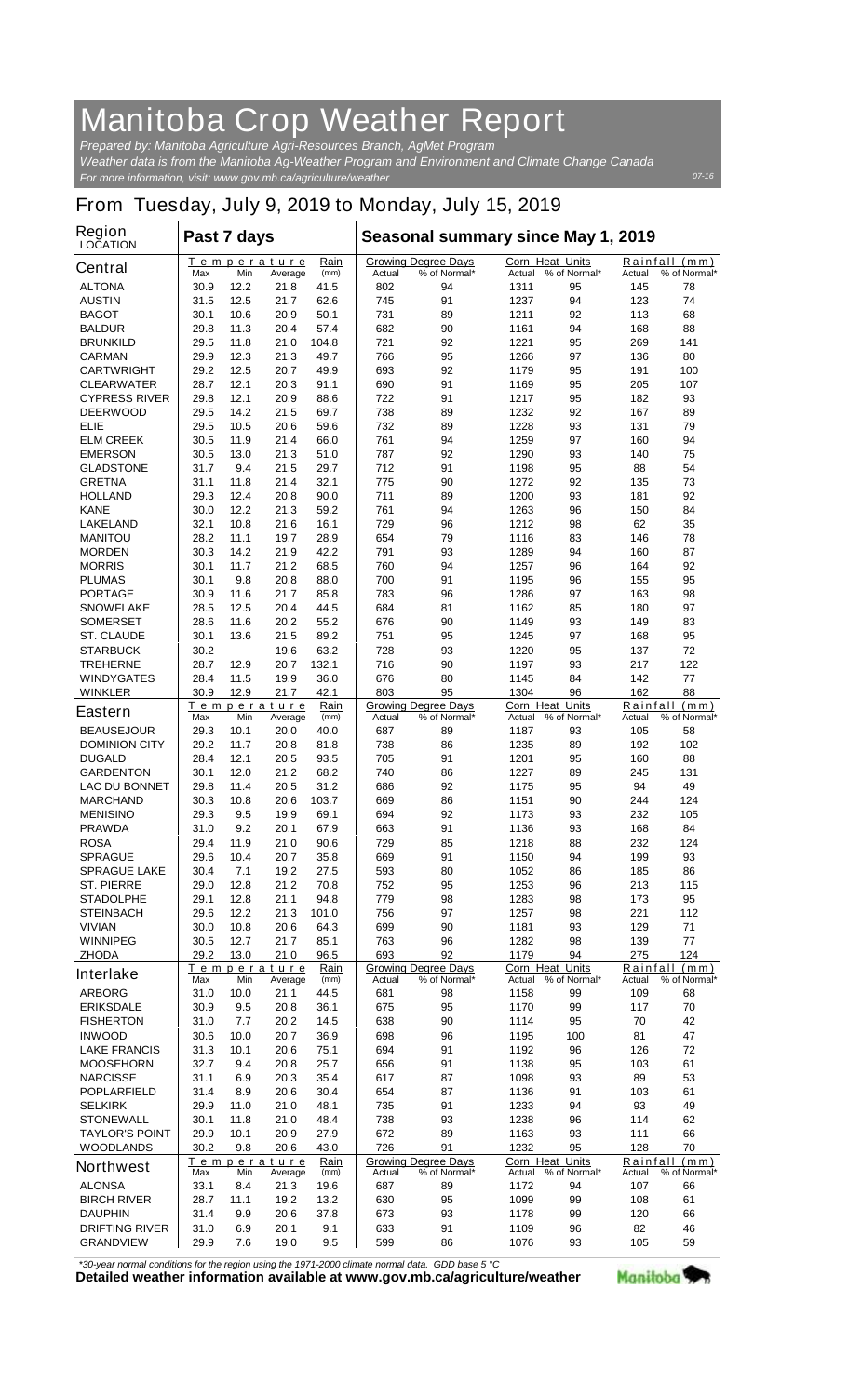## **Manitoba Crop Weather Report**

*For more information, visit: www.gov.mb.ca/agriculture/weather Prepared by: Manitoba Agriculture Agri-Resources Branch, AgMet Program Weather data is from the Manitoba Ag-Weather Program and Environment and Climate Change Canada*

## **From Tuesday, July 9, 2019 to Monday, July 15, 2019**

| <b>Region</b><br><b>LOCATION</b>          | Past 7 days  |              |                               |              | Seasonal summary since May 1, 2019 |                                            |                                  |                     |                    |                               |
|-------------------------------------------|--------------|--------------|-------------------------------|--------------|------------------------------------|--------------------------------------------|----------------------------------|---------------------|--------------------|-------------------------------|
| <b>Central</b>                            | Max          | Min          | <u>Temperature</u><br>Average | Rain<br>(mm) | Actual                             | <b>Growing Degree Days</b><br>% of Normal* | <b>Corn Heat Units</b><br>Actual | % of Normal*        | Actual             | Rainfall (mm)<br>% of Normal* |
| <b>ALTONA</b>                             | 30.9         | 12.2         | 21.8                          | 41.5         | 802                                | 94                                         | 1311                             | 95                  | 145                | 78                            |
| <b>AUSTIN</b>                             | 31.5         | 12.5         | 21.7                          | 62.6         | 745                                | 91                                         | 1237                             | 94                  | 123                | 74                            |
| <b>BAGOT</b>                              | 30.1         | 10.6         | 20.9                          | 50.1         | 731                                | 89                                         | 1211                             | 92                  | 113                | 68                            |
| <b>BALDUR</b>                             | 29.8         | 11.3         | 20.4                          | 57.4         | 682                                | 90                                         | 1161                             | 94                  | 168                | 88                            |
| <b>BRUNKILD</b>                           | 29.5         | 11.8         | 21.0                          | 104.8        | 721                                | 92                                         | 1221                             | 95                  | 269                | 141                           |
| <b>CARMAN</b>                             | 29.9         | 12.3         | 21.3                          | 49.7         | 766                                | 95                                         | 1266                             | 97                  | 136                | 80                            |
| <b>CARTWRIGHT</b>                         | 29.2<br>28.7 | 12.5<br>12.1 | 20.7                          | 49.9         | 693<br>690                         | 92                                         | 1179                             | 95<br>95            | 191                | 100<br>107                    |
| <b>CLEARWATER</b><br><b>CYPRESS RIVER</b> | 29.8         | 12.1         | 20.3<br>20.9                  | 91.1<br>88.6 | 722                                | 91<br>91                                   | 1169<br>1217                     | 95                  | 205<br>182         | 93                            |
| <b>DEERWOOD</b>                           | 29.5         | 14.2         | 21.5                          | 69.7         | 738                                | 89                                         | 1232                             | 92                  | 167                | 89                            |
| ELIE                                      | 29.5         | 10.5         | 20.6                          | 59.6         | 732                                | 89                                         | 1228                             | 93                  | 131                | 79                            |
| <b>ELM CREEK</b>                          | 30.5         | 11.9         | 21.4                          | 66.0         | 761                                | 94                                         | 1259                             | 97                  | 160                | 94                            |
| <b>EMERSON</b>                            | 30.5         | 13.0         | 21.3                          | 51.0         | 787                                | 92                                         | 1290                             | 93                  | 140                | 75                            |
| <b>GLADSTONE</b>                          | 31.7         | 9.4          | 21.5                          | 29.7         | 712                                | 91                                         | 1198                             | 95                  | 88                 | 54                            |
| <b>GRETNA</b>                             | 31.1         | 11.8         | 21.4                          | 32.1         | 775                                | 90                                         | 1272                             | 92                  | 135                | 73                            |
| <b>HOLLAND</b>                            | 29.3         | 12.4         | 20.8                          | 90.0         | 711                                | 89                                         | 1200                             | 93                  | 181                | 92                            |
| <b>KANE</b>                               | 30.0         | 12.2         | 21.3                          | 59.2         | 761                                | 94                                         | 1263                             | 96                  | 150                | 84                            |
| <b>LAKELAND</b>                           | 32.1         | 10.8         | 21.6                          | 16.1         | 729                                | 96                                         | 1212                             | 98                  | 62                 | 35                            |
| <b>MANITOU</b>                            | 28.2         | 11.1         | 19.7                          | 28.9         | 654                                | 79                                         | 1116                             | 83                  | 146                | 78                            |
| <b>MORDEN</b>                             | 30.3         | 14.2         | 21.9                          | 42.2         | 791                                | 93                                         | 1289                             | 94                  | 160                | 87                            |
| <b>MORRIS</b>                             | 30.1         | 11.7         | 21.2                          | 68.5         | 760                                | 94                                         | 1257                             | 96                  | 164                | 92                            |
| <b>PLUMAS</b>                             | 30.1         | 9.8          | 20.8                          | 88.0         | 700                                | 91                                         | 1195                             | 96                  | 155                | 95                            |
| <b>PORTAGE</b>                            | 30.9         | 11.6         | 21.7                          | 85.8         | 783                                | 96                                         | 1286                             | 97                  | 163                | 98                            |
| <b>SNOWFLAKE</b>                          | 28.5         | 12.5         | 20.4                          | 44.5         | 684                                | 81                                         | 1162                             | 85                  | 180                | 97                            |
| <b>SOMERSET</b>                           | 28.6         | 11.6         | 20.2                          | 55.2         | 676                                | 90                                         | 1149                             | 93                  | 149                | 83                            |
| <b>ST. CLAUDE</b>                         | 30.1         | 13.6         | 21.5                          | 89.2         | 751                                | 95                                         | 1245                             | 97                  | 168                | 95                            |
| <b>STARBUCK</b>                           | 30.2         |              | 19.6                          | 63.2         | 728                                | 93                                         | 1220                             | 95                  | 137                | 72                            |
| <b>TREHERNE</b>                           | 28.7         | 12.9         | 20.7                          | 132.1        | 716                                | 90                                         | 1197                             | 93                  | 217                | 122                           |
| <b>WINDYGATES</b>                         | 28.4         | 11.5         | 19.9                          | 36.0         | 676                                | 80                                         | 1145                             | 84                  | 142                | 77                            |
| <b>WINKLER</b>                            | 30.9         | 12.9         | 21.7                          | 42.1         | 803                                | 95                                         | 1304                             | 96                  | 162                | 88                            |
| <b>Eastern</b>                            | Max          | Min          | <u>Temperature</u><br>Average | Rain<br>(mm) | Actual                             | <b>Growing Degree Days</b><br>% of Normal* | <b>Corn Heat Units</b><br>Actual | % of Normal*        | Rainfall<br>Actual | (mm)<br>% of Normal*          |
| <b>BEAUSEJOUR</b>                         | 29.3         | 10.1         | 20.0                          | 40.0         | 687                                | 89                                         | 1187                             | 93                  | 105                | 58                            |
| <b>DOMINION CITY</b>                      | 29.2         | 11.7         | 20.8                          | 81.8         | 738                                | 86                                         | 1235                             | 89                  | 192                | 102                           |
| <b>DUGALD</b>                             | 28.4         | 12.1         | 20.5                          | 93.5         | 705                                | 91                                         | 1201                             | 95                  | 160                | 88                            |
| <b>GARDENTON</b>                          | 30.1         | 12.0         | 21.2                          | 68.2         | 740                                | 86                                         | 1227                             | 89                  | 245                | 131                           |
| <b>LAC DU BONNET</b>                      | 29.8         | 11.4         | 20.5                          | 31.2         | 686                                | 92                                         | 1175                             | 95                  | 94                 | 49                            |
| <b>MARCHAND</b>                           | 30.3         | 10.8         | 20.6                          | 103.7        | 669                                | 86<br>92                                   | 1151                             | 90                  | 244                | 124                           |
| <b>MENISINO</b><br><b>PRAWDA</b>          | 29.3<br>31.0 | 9.5<br>9.2   | 19.9<br>20.1                  | 69.1<br>67.9 | 694<br>663                         | 91                                         | 1173<br>1136                     | 93<br>93            | 232<br>168         | 105<br>84                     |
| <b>ROSA</b>                               | 29.4         | 11.9         | 21.0                          | 90.6         | 729                                | 85                                         | 1218                             | 88                  | 232                | 124                           |
| <b>SPRAGUE</b>                            | 29.6         | 10.4         | 20.7                          | 35.8         | 669                                | 91                                         | 1150                             | 94                  | 199                | 93                            |
| <b>SPRAGUE LAKE</b>                       | 30.4         | 7.1          | 19.2                          | 27.5         | 593                                | 80                                         | 1052                             | 86                  | 185                | 86                            |
| <b>ST. PIERRE</b>                         | 29.0         | 12.8         | 21.2                          | 70.8         | 752                                | 95                                         | 1253                             | 96                  | 213                | 115                           |
| <b>STADOLPHE</b>                          | 29.1         | 12.8         | 21.1                          | 94.8         | 779                                | 98                                         | 1283                             | 98                  | 173                | 95                            |
| <b>STEINBACH</b>                          | 29.6         | 12.2         | 21.3                          | 101.0        | 756                                | 97                                         | 1257                             | 98                  | 221                | 112                           |
| <b>VIVIAN</b>                             | 30.0         | 10.8         | 20.6                          | 64.3         | 699                                | 90                                         | 1181                             | 93                  | 129                | 71                            |
| <b>WINNIPEG</b>                           | 30.5         | 12.7         | 21.7                          | 85.1         | 763                                | 96                                         | 1282                             | 98                  | 139                | 77                            |
| <b>ZHODA</b>                              | 29.2         | 13.0         | 21.0                          | 96.5         | 693                                | 92                                         | 1179                             | 94                  | 275                | 124                           |
| <b>Interlake</b>                          |              |              | Temperature                   | Rain         |                                    | <b>Growing Degree Days</b>                 | Corn Heat Units                  |                     |                    | Rainfall (mm)                 |
|                                           | Max          | Min          | Average                       | (mm)         | Actual                             | % of Normal*                               |                                  | Actual % of Normal* | Actual             | % of Normal*                  |
| <b>ARBORG</b>                             | 31.0         | 10.0         | 21.1                          | 44.5         | 681                                | 98                                         | 1158                             | 99                  | 109                | 68                            |
| <b>ERIKSDALE</b>                          | 30.9         | 9.5          | 20.8                          | 36.1         | 675                                | 95                                         | 1170                             | 99                  | 117                | 70                            |
| <b>FISHERTON</b>                          | 31.0         | 7.7          | 20.2                          | 14.5         | 638                                | 90                                         | 1114                             | 95                  | 70                 | 42                            |
| <b>INWOOD</b>                             | 30.6         | 10.0         | 20.7                          | 36.9         | 698                                | 96                                         | 1195                             | 100                 | 81                 | 47                            |
| <b>LAKE FRANCIS</b>                       | 31.3         | 10.1         | 20.6                          | 75.1         | 694                                | 91                                         | 1192                             | 96                  | 126                | 72                            |
| <b>MOOSEHORN</b>                          | 32.7         | 9.4          | 20.8                          | 25.7         | 656                                | 91                                         | 1138                             | 95                  | 103                | 61                            |
| <b>NARCISSE</b>                           | 31.1         | 6.9          | 20.3                          | 35.4         | 617                                | 87                                         | 1098                             | 93                  | 89                 | 53                            |
| <b>POPLARFIELD</b>                        | 31.4         | 8.9          | 20.6                          | 30.4         | 654                                | 87                                         | 1136                             | 91                  | 103                | 61                            |
| <b>SELKIRK</b>                            | 29.9         | 11.0         | 21.0                          | 48.1<br>48.4 | 735                                | 91<br>93                                   | 1233                             | 94                  | 93                 | 49                            |
| <b>STONEWALL</b>                          | 30.1         | 11.8         | 21.0                          |              | 738                                |                                            | 1238                             | 96                  | 114                | 62                            |
| <b>TAYLOR'S POINT</b>                     | 29.9         | 10.1         | 20.9                          | 27.9         | 672                                | 89                                         | 1163                             | 93                  | 111                | 66                            |
| <b>WOODLANDS</b>                          | 30.2         | 9.8          | 20.6<br>Temperature           | 43.0<br>Rain | 726                                | 91<br><b>Growing Degree Days</b>           | 1232<br>Corn Heat Units          | 95                  | 128<br>Rainfall    | 70<br>(mm)                    |
| <b>Northwest</b>                          | Max          | Min          | Average                       | (mm)         | Actual                             | % of Normal*                               | Actual                           | % of Normal*        | Actual             | % of Normal*                  |
| <b>ALONSA</b>                             | 33.1         | 8.4          | 21.3                          | 19.6         | 687                                | 89                                         | 1172                             | 94                  | 107                | 66                            |
| <b>BIRCH RIVER</b>                        | 28.7         | 11.1         | 19.2                          | 13.2         | 630                                | 95                                         | 1099                             | 99                  | 108                | 61                            |
| <b>DAUPHIN</b>                            | 31.4         | 9.9          | 20.6                          | 37.8         | 673                                | 93                                         | 1178                             | 99                  | 120                | 66                            |
| <b>DRIFTING RIVER</b>                     | 31.0         | 6.9          | 20.1                          | 9.1          | 633                                | 91                                         | 1109                             | 96                  | 82                 | 46                            |
| <b>GRANDVIEW</b>                          | 29.9         | 7.6          | 19.0                          | 9.5          | 599                                | 86                                         | 1076                             | 93                  | 105                | 59                            |

*\*30-year normal conditions for the region using the 1971-2000 climate normal data. GDD base 5 °C*<br>Detailed weather information available at www.gov.mb.ca/agriculture/weather

Manitoba<sup>9</sup>